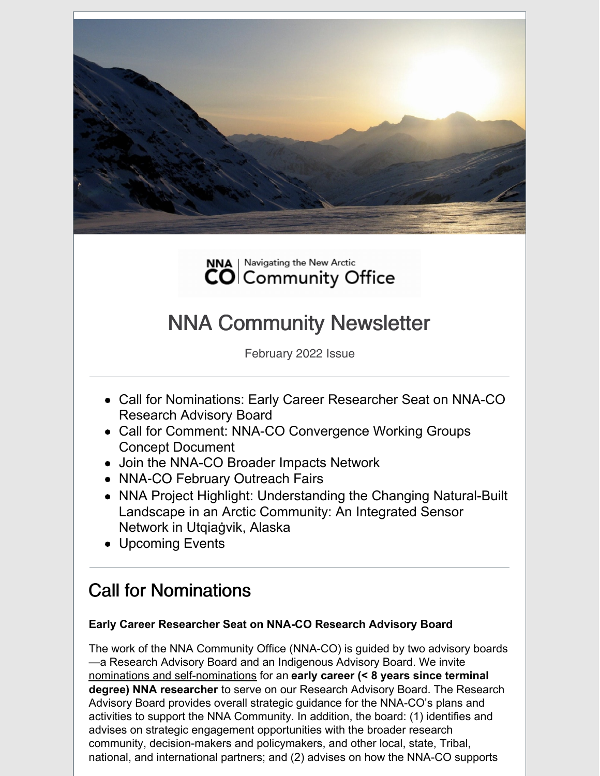



# NNA Community Newsletter

February 2022 Issue

- Call for Nominations: Early Career Researcher Seat on NNA-CO Research Advisory Board
- Call for Comment: NNA-CO Convergence Working Groups Concept Document
- Join the NNA-CO Broader Impacts Network
- NNA-CO February Outreach Fairs
- NNA Project Highlight: Understanding the Changing Natural-Built Landscape in an Arctic Community: An Integrated Sensor Network in Utqiaġvik, Alaska
- Upcoming Events

# Call for Nominations

#### **Early Career Researcher Seat on NNA-CO Research Advisory Board**

The work of the NNA Community Office (NNA-CO) is guided by two advisory boards —a Research Advisory Board and an Indigenous Advisory Board. We invite nominations and self-nominations for an **early career (< 8 years since terminal degree) NNA researcher** to serve on our Research Advisory Board. The Research Advisory Board provides overall strategic guidance for the NNA-CO's plans and activities to support the NNA Community. In addition, the board: (1) identifies and advises on strategic engagement opportunities with the broader research community, decision-makers and policymakers, and other local, state, Tribal, national, and international partners; and (2) advises on how the NNA-CO supports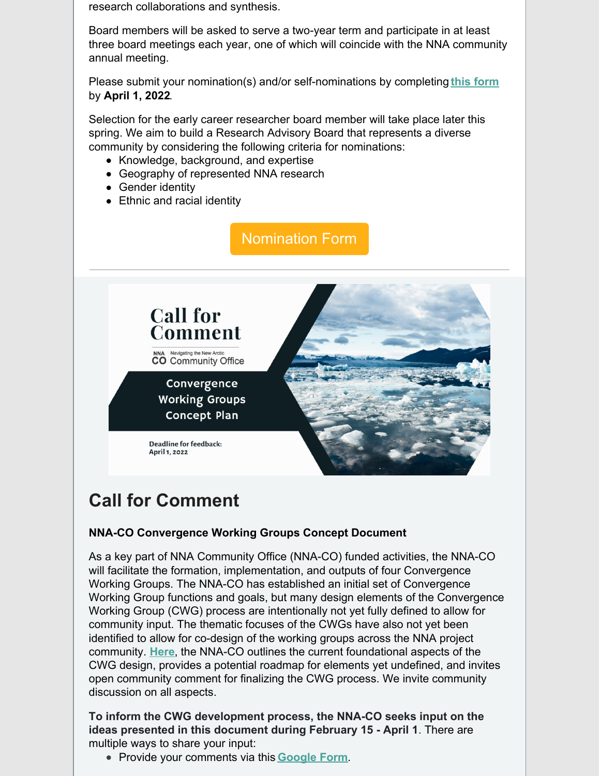research collaborations and synthesis.

Board members will be asked to serve a two-year term and participate in at least three board meetings each year, one of which will coincide with the NNA community annual meeting.

Please submit your nomination(s) and/or self-nominations by completing **this [form](https://docs.google.com/forms/d/e/1FAIpQLSe2ieSxFpPYoGvMxVhAzv_Y2L2TL6B9lMl-9cAYD2600jFkng/viewform?usp=sf_link)** by **April 1, 2022**.

Selection for the early career researcher board member will take place later this spring. We aim to build a Research Advisory Board that represents a diverse community by considering the following criteria for nominations:

- Knowledge, background, and expertise
- Geography of represented NNA research
- Gender identity
- Ethnic and racial identity



# **Call for Comment**

#### **NNA-CO Convergence Working Groups Concept Document**

As a key part of NNA Community Office (NNA-CO) funded activities, the NNA-CO will facilitate the formation, implementation, and outputs of four Convergence Working Groups. The NNA-CO has established an initial set of Convergence Working Group functions and goals, but many design elements of the Convergence Working Group (CWG) process are intentionally not yet fully defined to allow for community input. The thematic focuses of the CWGs have also not yet been identified to allow for co-design of the working groups across the NNA project community. **[Here](https://www.nna-co.org/sites/default/files/2022-02/Convergence Working Group - Concept Document_0.pdf)**, the NNA-CO outlines the current foundational aspects of the CWG design, provides a potential roadmap for elements yet undefined, and invites open community comment for finalizing the CWG process. We invite community discussion on all aspects.

**To inform the CWG development process, the NNA-CO seeks input on the ideas presented in this document during February 15 - April 1**. There are multiple ways to share your input:

Provide your comments via this **[Google](https://forms.gle/knKMnrpWXhZWTzJK8) Form**.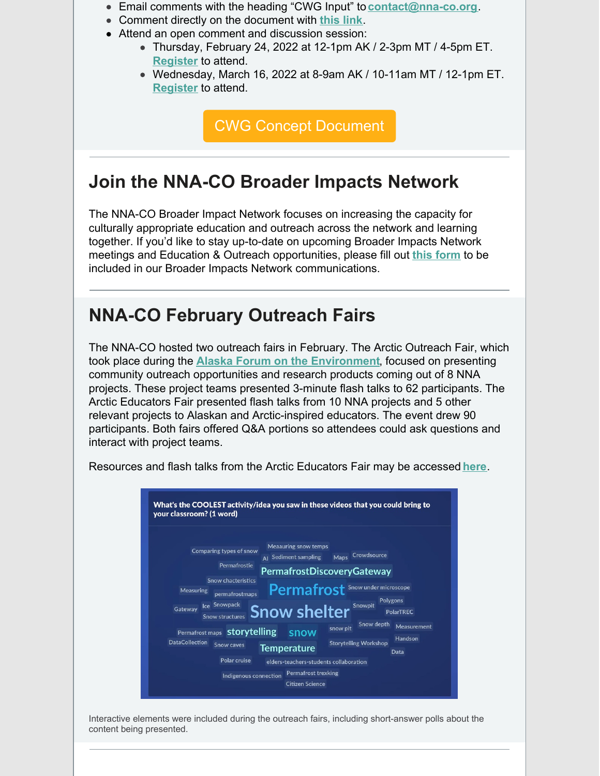- Email comments with the heading "CWG Input" to **[contact@nna-co.org](mailto:contact@nna-co.org)**.
- Comment directly on the document with **[this](https://docs.google.com/document/d/193FCd9WbQxOGb95X-a7vDGRJ2LzGSTTRwPSjuTVdKbU/edit?usp=sharing) link**.
- Attend an open comment and discussion session:
	- Thursday, February 24, 2022 at 12-1pm AK / 2-3pm MT / 4-5pm ET. **[Register](https://cuboulder.zoom.us/meeting/register/tJMlcO2urT0oG9RnTUxBOGwpD3zO3gplaRqv)** to attend.
	- Wednesday, March 16, 2022 at 8-9am AK / 10-11am MT / 12-1pm ET. **[Register](https://cuboulder.zoom.us/meeting/register/tJYuf-2pqz4pE9GjiG9ZJa-f22zVlkfQ5zc4)** to attend.

CWG Concept [Document](https://www.nna-co.org/sites/default/files/2022-02/Convergence Working Group - Concept Document_0.pdf)

### **Join the NNA-CO Broader Impacts Network**

The NNA-CO Broader Impact Network focuses on increasing the capacity for culturally appropriate education and outreach across the network and learning together. If you'd like to stay up-to-date on upcoming Broader Impacts Network meetings and Education & Outreach opportunities, please fill out **this [form](https://docs.google.com/forms/d/e/1FAIpQLScxJgQBlXUNwoCt-DPtMFN0I_qC9TPGOmr1__vPzlePXhj5iA/viewform?usp=sf_link)** to be included in our Broader Impacts Network communications.

### **NNA-CO February Outreach Fairs**

The NNA-CO hosted two outreach fairs in February. The Arctic Outreach Fair, which took place during the **Alaska Forum on the [Environment](https://akforum.org/)**, focused on presenting community outreach opportunities and research products coming out of 8 NNA projects. These project teams presented 3-minute flash talks to 62 participants. The Arctic Educators Fair presented flash talks from 10 NNA projects and 5 other relevant projects to Alaskan and Arctic-inspired educators. The event drew 90 participants. Both fairs offered Q&A portions so attendees could ask questions and interact with project teams.



Resources and flash talks from the Arctic Educators Fair may be accessed **[here](https://www.nna-co.org/nna-co-arctic-educators-fair-2022)**.

Interactive elements were included during the outreach fairs, including short-answer polls about the content being presented.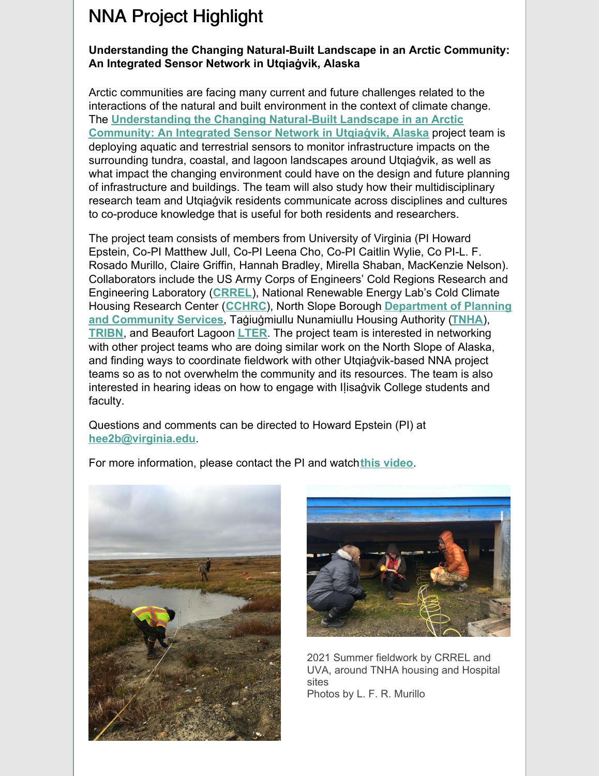## NNA Project Highlight

#### **Understanding the Changing Natural-Built Landscape in an Arctic Community: An Integrated Sensor Network in Utqiaġvik, Alaska**

Arctic communities are facing many current and future challenges related to the interactions of the natural and built environment in the context of climate change. The **[Understanding](https://www.nsf.gov/awardsearch/showAward?AWD_ID=2022639&HistoricalAwards=false) the Changing Natural-Built Landscape in an Arctic Community: An Integrated Sensor Network in Utqiaġvik, Alaska** project team is deploying aquatic and terrestrial sensors to monitor infrastructure impacts on the surrounding tundra, coastal, and lagoon landscapes around Utqiaġvik, as well as what impact the changing environment could have on the design and future planning of infrastructure and buildings. The team will also study how their multidisciplinary research team and Utqiaġvik residents communicate across disciplines and cultures to co-produce knowledge that is useful for both residents and researchers.

The project team consists of members from University of Virginia (PI Howard Epstein, Co-PI Matthew Jull, Co-PI Leena Cho, Co-PI Caitlin Wylie, Co PI-L. F. Rosado Murillo, Claire Griffin, Hannah Bradley, Mirella Shaban, MacKenzie Nelson). Collaborators include the US Army Corps of Engineers' Cold Regions Research and Engineering Laboratory (**[CRREL](https://www.erdc.usace.army.mil/Locations/CRREL/)**), National Renewable Energy Lab's Cold Climate Housing Research Center (**[CCHRC](https://www.nrel.gov/about/alaska.html)**), North Slope Borough **[Department](http://www.north-slope.org/departments/planning-community-services) of Planning and Community Services**, Taġiuġmiullu Nunamiullu Housing Authority (**[TNHA](https://tnha.info/)**), **[TRIBN](https://tribn.pro/)**, and Beaufort Lagoon **[LTER](https://ble.lternet.edu/)**. The project team is interested in networking with other project teams who are doing similar work on the North Slope of Alaska, and finding ways to coordinate fieldwork with other Utqiaġvik-based NNA project teams so as to not overwhelm the community and its resources. The team is also interested in hearing ideas on how to engage with Iḷisaġvik College students and faculty.

Questions and comments can be directed to Howard Epstein (PI) at **[hee2b@virginia.edu](mailto:hee2b@virginia.edu)**.

For more information, please contact the PI and watch**this [video](https://www.youtube.com/watch?v=OC4amdZoKPI)**.





2021 Summer fieldwork by CRREL and UVA, around TNHA housing and Hospital sites Photos by L. F. R. Murillo